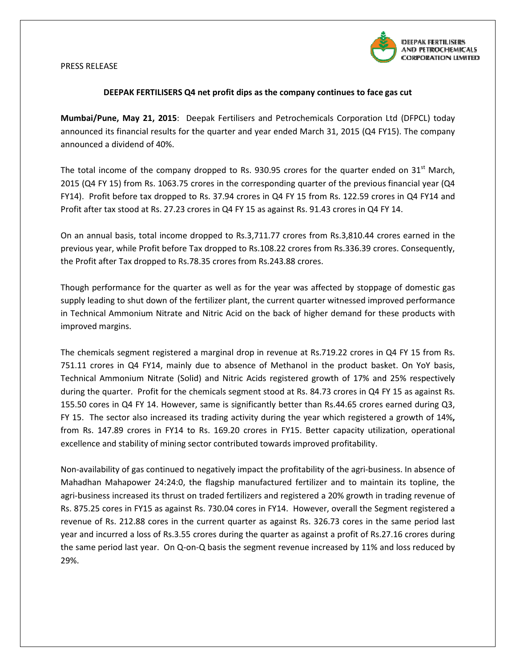

## PRESS RELEASE

## DEEPAK FERTILISERS Q4 net profit dips as the company continues to face gas cut

Mumbai/Pune, May 21, 2015: Deepak Fertilisers and Petrochemicals Corporation Ltd (DFPCL) today announced its financial results for the quarter and year ended March 31, 2015 (Q4 FY15). The company announced a dividend of 40%.

The total income of the company dropped to Rs. 930.95 crores for the quarter ended on 31<sup>st</sup> March, 2015 (Q4 FY 15) from Rs. 1063.75 crores in the corresponding quarter of the previous financial year (Q4 FY14). Profit before tax dropped to Rs. 37.94 crores in Q4 FY 15 from Rs. 122.59 crores in Q4 FY14 and Profit after tax stood at Rs. 27.23 crores in Q4 FY 15 as against Rs. 91.43 crores in Q4 FY 14.

On an annual basis, total income dropped to Rs.3,711.77 crores from Rs.3,810.44 crores earned in the<br>previous year, while Profit before Tax dropped to Rs.108.22 crores from Rs.336.39 crores. Consequently, previous year, while Profit before Tax dropped to Rs.108.22 crores from Rs.336.39 crores. the Profit after Tax dropped to Rs.78.35 crores from Rs.243.88 crores.

Though performance for the quarter as well as for the year was affected by stoppage of domestic gas supply leading to shut down of the fertilizer plant, the current quarter witnessed improved performance in Technical Ammonium Nitrate and Nitric Acid on the back of higher demand for these products with improved margins.

The chemicals segment registered a marginal drop in revenue at Rs.719.22 crores in Q4 FY 15 from Rs. 751.11 crores in Q4 FY14, mainly due to absence of Methanol in the product basket. On YoY basis,<br>Technical Ammonium Nitrate (Solid) and Nitric Acids registered growth of 17% and 25% respectively Technical Ammonium Nitrate (Solid) and Nitric Acids registered growth of 17% and 25% respectively<br>during the quarter. Profit for the chemicals segment stood at Rs. 84.73 crores in Q4 FY 15 as against Rs. during the quarter. Profit for the chemicals segment stood at Rs. 84.73 crores in Q4 FY 1 155.50 cores in Q4 FY 14. However, same is significantly better than Rs.44.65 crores earned during Q3, 155.50 cores in Q4 FY 14. However, same is significantly better than Rs.44.65 crores earned during Q3,<br>FY 15. The sector also increased its trading activity during the year which registered a growth of 14%, from Rs. 147.89 crores in FY14 to Rs. 169.20 crores in FY15. Better capacity utilization, operational excellence and stability of mining sector contributed towards improved profitability.

Non-availability of gas continued to negatively impact the profitability of the agri-business. In absence of Mahadhan Mahapower 24:24:0, the flagship manufactured fertilizer and to maintain its topline, the agri-business increased its thrust on traded fertilizers and registered a 20% growth in trading revenue of Rs. 875.25 cores in FY15 as against Rs. 730.04 cores in FY14. However, overall the Segment registered a revenue of Rs. 212.88 cores in the current quarter as against Rs. 326.73 cores in the same period last revenue of Rs. 212.88 cores in the current quarter as against Rs. 326.73 cores in the same period last<br>year and incurred a loss of Rs.3.55 crores during the quarter as against a profit of Rs.27.16 crores during the same period last year. On Q-on-Q basis the segment revenue increased by 11% and loss reduced by 29%.